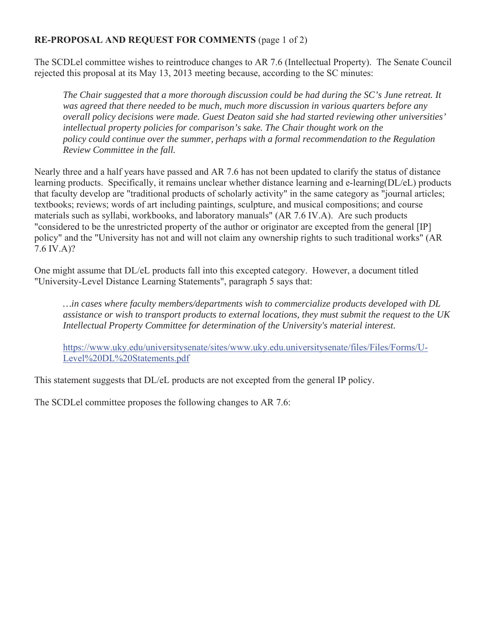## **RE-PROPOSAL AND REQUEST FOR COMMENTS** (page 1 of 2)

The SCDLel committee wishes to reintroduce changes to AR 7.6 (Intellectual Property). The Senate Council rejected this proposal at its May 13, 2013 meeting because, according to the SC minutes:

*The Chair suggested that a more thorough discussion could be had during the SC's June retreat. It was agreed that there needed to be much, much more discussion in various quarters before any overall policy decisions were made. Guest Deaton said she had started reviewing other universities' intellectual property policies for comparison's sake. The Chair thought work on the policy could continue over the summer, perhaps with a formal recommendation to the Regulation Review Committee in the fall.* 

Nearly three and a half years have passed and AR 7.6 has not been updated to clarify the status of distance learning products. Specifically, it remains unclear whether distance learning and e-learning(DL/eL) products that faculty develop are "traditional products of scholarly activity" in the same category as "journal articles; textbooks; reviews; words of art including paintings, sculpture, and musical compositions; and course materials such as syllabi, workbooks, and laboratory manuals" (AR 7.6 IV.A). Are such products "considered to be the unrestricted property of the author or originator are excepted from the general [IP] policy" and the "University has not and will not claim any ownership rights to such traditional works" (AR 7.6 IV.A)?

One might assume that DL/eL products fall into this excepted category. However, a document titled "University-Level Distance Learning Statements", paragraph 5 says that:

*…in cases where faculty members/departments wish to commercialize products developed with DL assistance or wish to transport products to external locations, they must submit the request to the UK Intellectual Property Committee for determination of the University's material interest.* 

https://www.uky.edu/universitysenate/sites/www.uky.edu.universitysenate/files/Files/Forms/U-Level%20DL%20Statements.pdf

This statement suggests that DL/eL products are not excepted from the general IP policy.

The SCDLel committee proposes the following changes to AR 7.6: